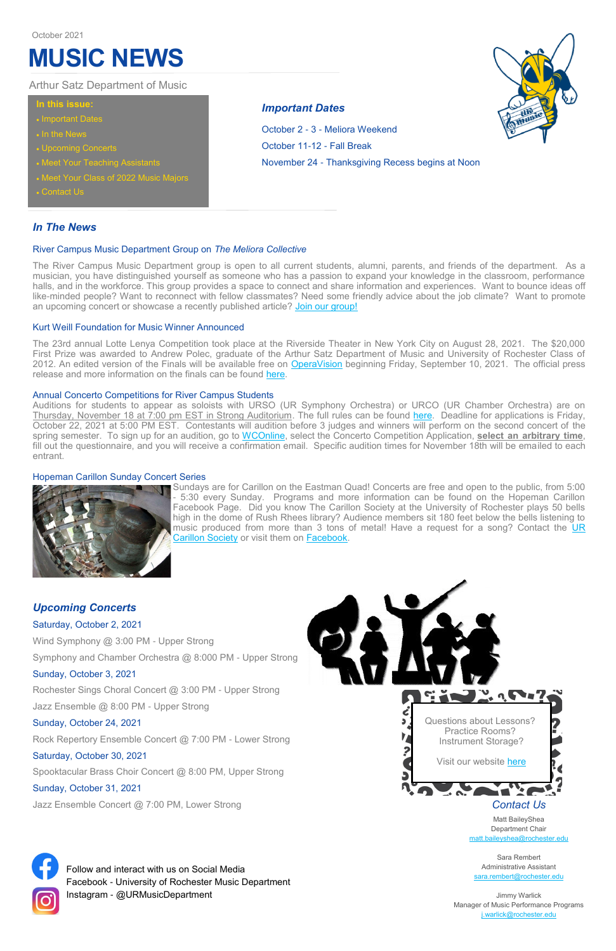## *In The News*

The River Campus Music Department group is open to all current students, alumni, parents, and friends of the department. As a musician, you have distinguished yourself as someone who has a passion to expand your knowledge in the classroom, performance halls, and in the workforce. This group provides a space to connect and share information and experiences. Want to bounce ideas off like-minded people? Want to reconnect with fellow classmates? Need some friendly advice about the job climate? Want to promote an upcoming concert or showcase a recently published article? [Join our group!](https://thecollective.rochester.edu/hub/rochester/groups-v2/river-campus-music-department/about)

#### River Campus Music Department Group on *The Meliora Collective*

The 23rd annual Lotte Lenya Competition took place at the Riverside Theater in New York City on August 28, 2021. The \$20,000 First Prize was awarded to Andrew Polec, graduate of the Arthur Satz Department of Music and University of Rochester Class of 2012. An edited version of the Finals will be available free on [OperaVision](https://operavision.eu/en/library/performances/competitions/lotte-lenya-competition) beginning Friday, September 10, 2021. The official press release and more information on the finals can be found here.

#### Kurt Weill Foundation for Music Winner Announced

Sundays are for Carillon on the Eastman Quad! Concerts are free and open to the public, from 5:00 - 5:30 every Sunday. Programs and more information can be found on the Hopeman Carillon Facebook Page. Did you know The Carillon Society at the University of Rochester plays 50 bells high in the dome of Rush Rhees library? Audience members sit 180 feet below the bells listening to music produced from more than 3 tons of metal! Have a request for a song? Contact the UR [Carillon Society](https://docs.google.com/forms/d/e/1FAIpQLSf7D-lmJE6-zqLZVeeu6IPBl86NobS_5GFSu_3CZHJ1bxk7-w/viewform) or visit them on [Facebook.](https://www.facebook.com/HopemanCarillon)

#### Annual Concerto Competitions for River Campus Students

Auditions for students to appear as soloists with URSO (UR Symphony Orchestra) or URCO (UR Chamber Orchestra) are on Thursday, November 18 at 7:00 pm EST in Strong Auditorium. The full rules can be found [here.](https://www.sas.rochester.edu/mur/news-events/index.html) Deadline for applications is Friday, October 22, 2021 at 5:00 PM EST. Contestants will audition before 3 judges and winners will perform on the second concert of the spring semester. To sign up for an audition, go to [WCOnline,](https://ur.mywconline.com/index.php?) select the Concerto Competition Application, **select an arbitrary time**, fill out the questionnaire, and you will receive a confirmation email. Specific audition times for November 18th will be emailed to each entrant.

> Sara Rembert Administrative Assistant [sara.rembert@rochester.edu](mailto:sara.rembert@rochester.edu)

#### Hopeman Carillon Sunday Concert Series



*Upcoming Concerts*

Saturday, October 2, 2021

Wind Symphony @ 3:00 PM - Upper Strong

Symphony and Chamber Orchestra @ 8:000 PM - Upper Strong

#### Sunday, October 3, 2021

Rochester Sings Choral Concert @ 3:00 PM - Upper Strong

Jazz Ensemble @ 8:00 PM - Upper Strong

Sunday, October 24, 2021

Rock Repertory Ensemble Concert @ 7:00 PM - Lower Strong Saturday, October 30, 2021

Spooktacular Brass Choir Concert @ 8:00 PM, Upper Strong

Sunday, October 31, 2021

Jazz Ensemble Concert @ 7:00 PM, Lower Strong



## **In this issue:**

- Important Dates
- In the News
- Upcoming Concerts
- Meet Your Teaching Assistants
- Meet Your Class of 2022 Music Majors
- Contact Us

Arthur Satz Department of Music

## *Important Dates*

October 2 - 3 - Meliora Weekend October 11-12 - Fall Break November 24 - Thanksgiving Recess begins at Noon

# **MUSIC NEWS**

October 2021



Follow and interact with us on Social Media Facebook - University of Rochester Music Department Instagram - @URMusicDepartment

Matt BaileyShea Department Chair [matt.baileyshea@rochester.edu](mailto:matt.baileyshea@rochester.edu)

Jimmy Warlick Manager of Music Performance Programs [j.warlick@rochester.edu](mailto:j.warlick@rochester.edu)